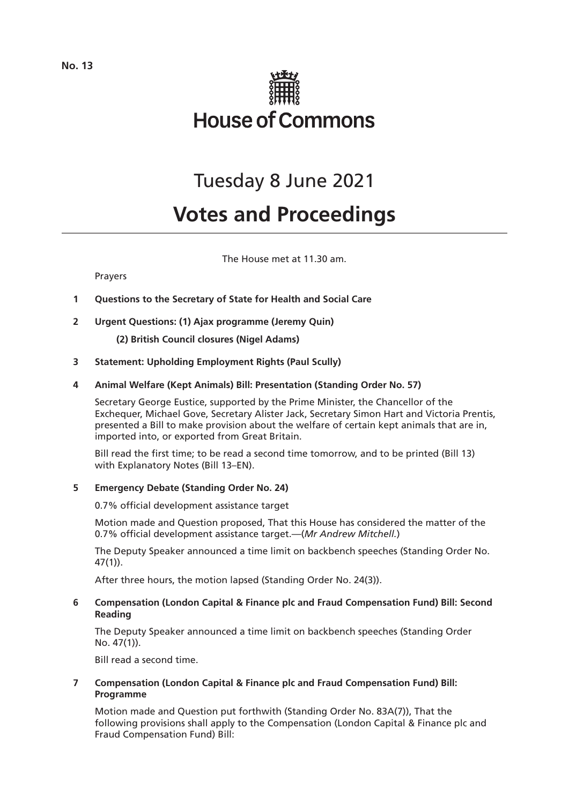

# Tuesday 8 June 2021

# **Votes and Proceedings**

The House met at 11.30 am.

# Prayers

- **1 Questions to the Secretary of State for Health and Social Care**
- **2 Urgent Questions: (1) Ajax programme (Jeremy Quin)**
	- **(2) British Council closures (Nigel Adams)**
- **3 Statement: Upholding Employment Rights (Paul Scully)**

# **4 Animal Welfare (Kept Animals) Bill: Presentation (Standing Order No. 57)**

Secretary George Eustice, supported by the Prime Minister, the Chancellor of the Exchequer, Michael Gove, Secretary Alister Jack, Secretary Simon Hart and Victoria Prentis, presented a Bill to make provision about the welfare of certain kept animals that are in, imported into, or exported from Great Britain.

Bill read the first time; to be read a second time tomorrow, and to be printed (Bill 13) with Explanatory Notes (Bill 13–EN).

# **5 Emergency Debate (Standing Order No. 24)**

0.7% official development assistance target

Motion made and Question proposed, That this House has considered the matter of the 0.7% official development assistance target.—(*Mr Andrew Mitchell.*)

The Deputy Speaker announced a time limit on backbench speeches (Standing Order No. 47(1)).

After three hours, the motion lapsed (Standing Order No. 24(3)).

# **6 Compensation (London Capital & Finance plc and Fraud Compensation Fund) Bill: Second Reading**

The Deputy Speaker announced a time limit on backbench speeches (Standing Order No. 47(1)).

Bill read a second time.

# **7 Compensation (London Capital & Finance plc and Fraud Compensation Fund) Bill: Programme**

Motion made and Question put forthwith (Standing Order No. 83A(7)), That the following provisions shall apply to the Compensation (London Capital & Finance plc and Fraud Compensation Fund) Bill: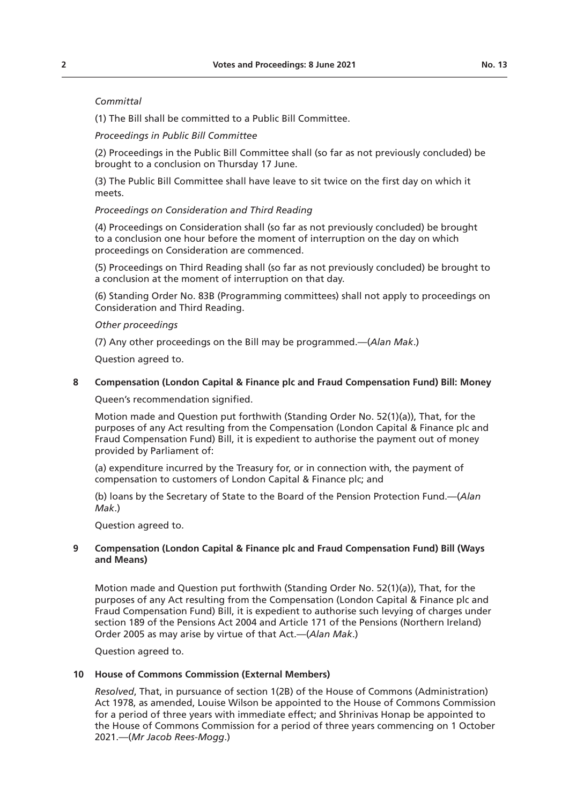# *Committal*

(1) The Bill shall be committed to a Public Bill Committee.

### *Proceedings in Public Bill Committee*

(2) Proceedings in the Public Bill Committee shall (so far as not previously concluded) be brought to a conclusion on Thursday 17 June.

(3) The Public Bill Committee shall have leave to sit twice on the first day on which it meets.

### *Proceedings on Consideration and Third Reading*

(4) Proceedings on Consideration shall (so far as not previously concluded) be brought to a conclusion one hour before the moment of interruption on the day on which proceedings on Consideration are commenced.

(5) Proceedings on Third Reading shall (so far as not previously concluded) be brought to a conclusion at the moment of interruption on that day.

(6) Standing Order No. 83B (Programming committees) shall not apply to proceedings on Consideration and Third Reading.

### *Other proceedings*

(7) Any other proceedings on the Bill may be programmed.—(*Alan Mak*.)

Question agreed to.

# **8 Compensation (London Capital & Finance plc and Fraud Compensation Fund) Bill: Money**

Queen's recommendation signified.

Motion made and Question put forthwith (Standing Order No. 52(1)(a)), That, for the purposes of any Act resulting from the Compensation (London Capital & Finance plc and Fraud Compensation Fund) Bill, it is expedient to authorise the payment out of money provided by Parliament of:

(a) expenditure incurred by the Treasury for, or in connection with, the payment of compensation to customers of London Capital & Finance plc; and

(b) loans by the Secretary of State to the Board of the Pension Protection Fund.—(*Alan Mak*.)

Question agreed to.

# **9 Compensation (London Capital & Finance plc and Fraud Compensation Fund) Bill (Ways and Means)**

Motion made and Question put forthwith (Standing Order No. 52(1)(a)), That, for the purposes of any Act resulting from the Compensation (London Capital & Finance plc and Fraud Compensation Fund) Bill, it is expedient to authorise such levying of charges under section 189 of the Pensions Act 2004 and Article 171 of the Pensions (Northern Ireland) Order 2005 as may arise by virtue of that Act.—(*Alan Mak*.)

Question agreed to.

# **10 House of Commons Commission (External Members)**

*Resolved*, That, in pursuance of section 1(2B) of the House of Commons (Administration) Act 1978, as amended, Louise Wilson be appointed to the House of Commons Commission for a period of three years with immediate effect; and Shrinivas Honap be appointed to the House of Commons Commission for a period of three years commencing on 1 October 2021.—(*Mr Jacob Rees-Mogg*.)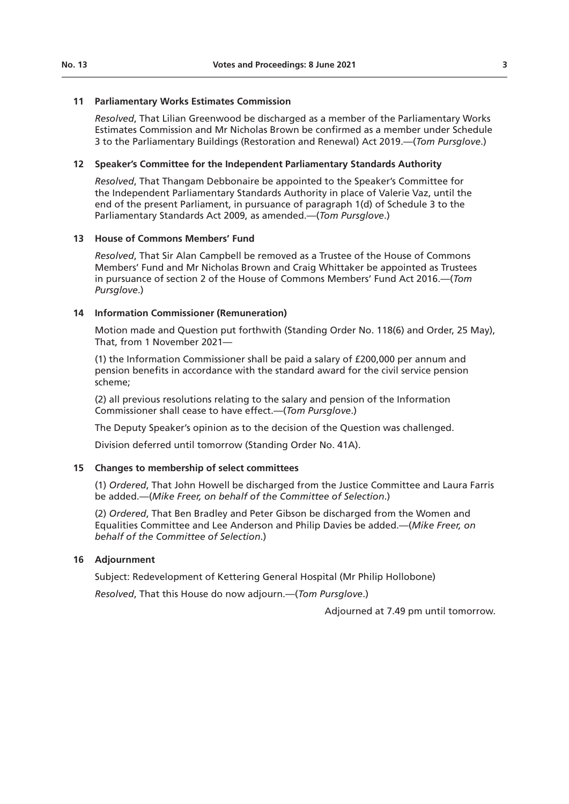### **11 Parliamentary Works Estimates Commission**

*Resolved*, That Lilian Greenwood be discharged as a member of the Parliamentary Works Estimates Commission and Mr Nicholas Brown be confirmed as a member under Schedule 3 to the Parliamentary Buildings (Restoration and Renewal) Act 2019.—(*Tom Pursglove*.)

# **12 Speaker's Committee for the Independent Parliamentary Standards Authority**

*Resolved*, That Thangam Debbonaire be appointed to the Speaker's Committee for the Independent Parliamentary Standards Authority in place of Valerie Vaz, until the end of the present Parliament, in pursuance of paragraph 1(d) of Schedule 3 to the Parliamentary Standards Act 2009, as amended.—(*Tom Pursglove*.)

### **13 House of Commons Members' Fund**

*Resolved*, That Sir Alan Campbell be removed as a Trustee of the House of Commons Members' Fund and Mr Nicholas Brown and Craig Whittaker be appointed as Trustees in pursuance of section 2 of the House of Commons Members' Fund Act 2016.—(*Tom Pursglove*.)

### **14 Information Commissioner (Remuneration)**

Motion made and Question put forthwith (Standing Order No. 118(6) and Order, 25 May), That, from 1 November 2021—

(1) the Information Commissioner shall be paid a salary of £200,000 per annum and pension benefits in accordance with the standard award for the civil service pension scheme;

(2) all previous resolutions relating to the salary and pension of the Information Commissioner shall cease to have effect.—(*Tom Pursglove*.)

The Deputy Speaker's opinion as to the decision of the Question was challenged.

Division deferred until tomorrow (Standing Order No. 41A).

# **15 Changes to membership of select committees**

(1) *Ordered*, That John Howell be discharged from the Justice Committee and Laura Farris be added.—(*Mike Freer, on behalf of the Committee of Selection*.)

(2) *Ordered*, That Ben Bradley and Peter Gibson be discharged from the Women and Equalities Committee and Lee Anderson and Philip Davies be added.—(*Mike Freer, on behalf of the Committee of Selection*.)

# **16 Adjournment**

Subject: Redevelopment of Kettering General Hospital (Mr Philip Hollobone)

*Resolved*, That this House do now adjourn.—(*Tom Pursglove*.)

Adjourned at 7.49 pm until tomorrow.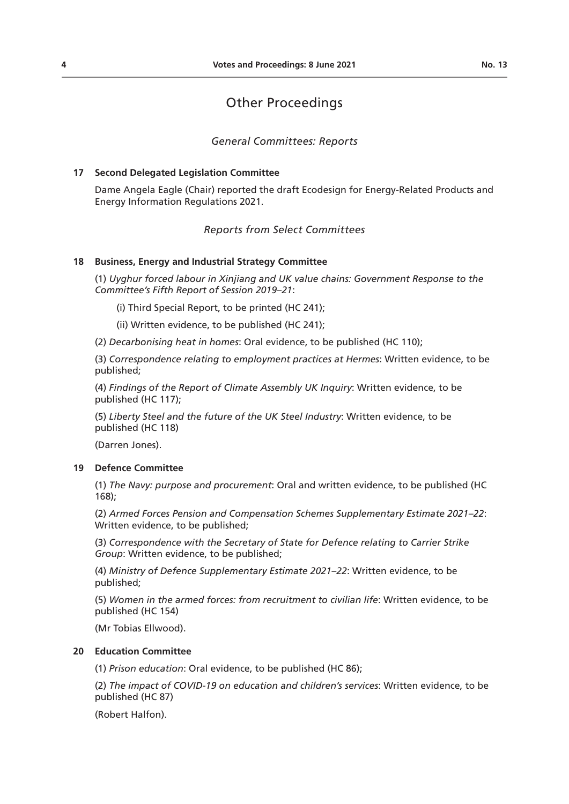# Other Proceedings

# *General Committees: Reports*

### **17 Second Delegated Legislation Committee**

Dame Angela Eagle (Chair) reported the draft Ecodesign for Energy-Related Products and Energy Information Regulations 2021.

# *Reports from Select Committees*

### **18 Business, Energy and Industrial Strategy Committee**

(1) *Uyghur forced labour in Xinjiang and UK value chains: Government Response to the Committee's Fifth Report of Session 2019–21*:

- (i) Third Special Report, to be printed (HC 241);
- (ii) Written evidence, to be published (HC 241);

(2) *Decarbonising heat in homes*: Oral evidence, to be published (HC 110);

(3) *Correspondence relating to employment practices at Hermes*: Written evidence, to be published;

(4) *Findings of the Report of Climate Assembly UK Inquiry*: Written evidence, to be published (HC 117);

(5) *Liberty Steel and the future of the UK Steel Industry*: Written evidence, to be published (HC 118)

(Darren Jones).

# **19 Defence Committee**

(1) *The Navy: purpose and procurement*: Oral and written evidence, to be published (HC 168);

(2) *Armed Forces Pension and Compensation Schemes Supplementary Estimate 2021–22*: Written evidence, to be published;

(3) *Correspondence with the Secretary of State for Defence relating to Carrier Strike Group*: Written evidence, to be published;

(4) *Ministry of Defence Supplementary Estimate 2021–22*: Written evidence, to be published;

(5) *Women in the armed forces: from recruitment to civilian life*: Written evidence, to be published (HC 154)

(Mr Tobias Ellwood).

### **20 Education Committee**

(1) *Prison education*: Oral evidence, to be published (HC 86);

(2) *The impact of COVID-19 on education and children's services*: Written evidence, to be published (HC 87)

(Robert Halfon).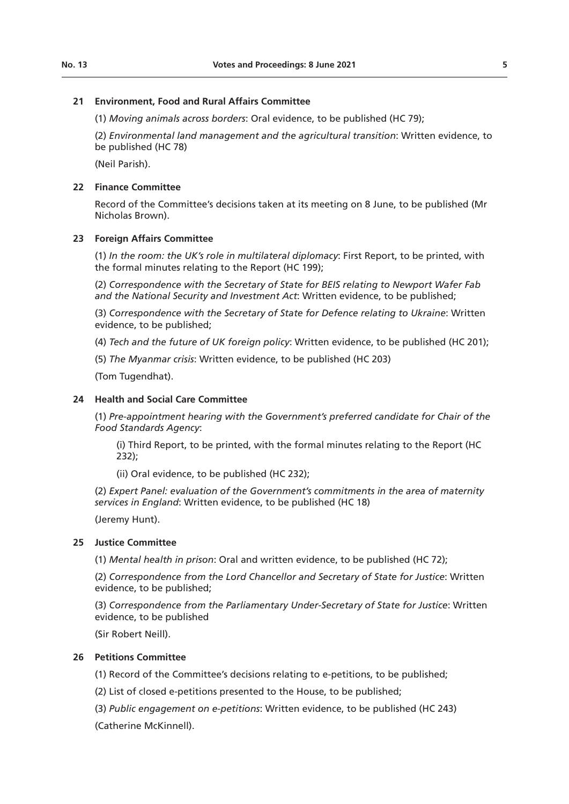# **21 Environment, Food and Rural Affairs Committee**

(1) *Moving animals across borders*: Oral evidence, to be published (HC 79);

(2) *Environmental land management and the agricultural transition*: Written evidence, to be published (HC 78)

(Neil Parish).

# **22 Finance Committee**

Record of the Committee's decisions taken at its meeting on 8 June, to be published (Mr Nicholas Brown).

# **23 Foreign Affairs Committee**

(1) *In the room: the UK's role in multilateral diplomacy*: First Report, to be printed, with the formal minutes relating to the Report (HC 199);

(2) *Correspondence with the Secretary of State for BEIS relating to Newport Wafer Fab and the National Security and Investment Act*: Written evidence, to be published;

(3) *Correspondence with the Secretary of State for Defence relating to Ukraine*: Written evidence, to be published;

(4) *Tech and the future of UK foreign policy*: Written evidence, to be published (HC 201);

(5) *The Myanmar crisis*: Written evidence, to be published (HC 203)

(Tom Tugendhat).

# **24 Health and Social Care Committee**

(1) *Pre-appointment hearing with the Government's preferred candidate for Chair of the Food Standards Agency*:

(i) Third Report, to be printed, with the formal minutes relating to the Report (HC 232);

(ii) Oral evidence, to be published (HC 232);

(2) *Expert Panel: evaluation of the Government's commitments in the area of maternity services in England*: Written evidence, to be published (HC 18)

(Jeremy Hunt).

# **25 Justice Committee**

(1) *Mental health in prison*: Oral and written evidence, to be published (HC 72);

(2) *Correspondence from the Lord Chancellor and Secretary of State for Justice*: Written evidence, to be published;

(3) *Correspondence from the Parliamentary Under-Secretary of State for Justice*: Written evidence, to be published

(Sir Robert Neill).

# **26 Petitions Committee**

(1) Record of the Committee's decisions relating to e-petitions, to be published;

(2) List of closed e-petitions presented to the House, to be published;

(3) *Public engagement on e-petitions*: Written evidence, to be published (HC 243) (Catherine McKinnell).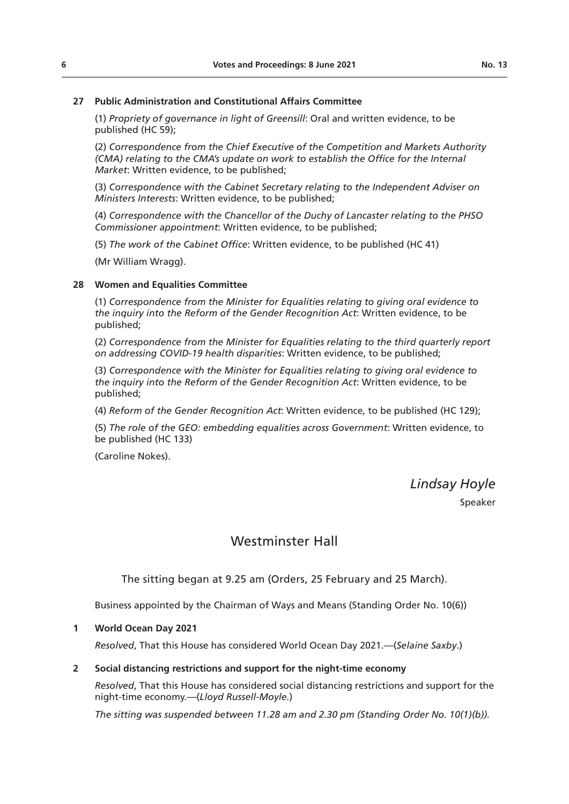### **27 Public Administration and Constitutional Affairs Committee**

(1) *Propriety of governance in light of Greensill*: Oral and written evidence, to be published (HC 59);

(2) *Correspondence from the Chief Executive of the Competition and Markets Authority (CMA) relating to the CMA's update on work to establish the Office for the Internal Market*: Written evidence, to be published;

(3) *Correspondence with the Cabinet Secretary relating to the Independent Adviser on Ministers Interests*: Written evidence, to be published;

(4) *Correspondence with the Chancellor of the Duchy of Lancaster relating to the PHSO Commissioner appointment*: Written evidence, to be published;

(5) *The work of the Cabinet Office*: Written evidence, to be published (HC 41)

(Mr William Wragg).

### **28 Women and Equalities Committee**

(1) *Correspondence from the Minister for Equalities relating to giving oral evidence to the inquiry into the Reform of the Gender Recognition Act*: Written evidence, to be published;

(2) *Correspondence from the Minister for Equalities relating to the third quarterly report on addressing COVID-19 health disparities*: Written evidence, to be published;

(3) *Correspondence with the Minister for Equalities relating to giving oral evidence to the inquiry into the Reform of the Gender Recognition Act*: Written evidence, to be published;

(4) *Reform of the Gender Recognition Act*: Written evidence, to be published (HC 129);

(5) *The role of the GEO: embedding equalities across Government*: Written evidence, to be published (HC 133)

(Caroline Nokes).

*Lindsay Hoyle*

Speaker

# Westminster Hall

The sitting began at 9.25 am (Orders, 25 February and 25 March).

Business appointed by the Chairman of Ways and Means (Standing Order No. 10(6))

### **1 World Ocean Day 2021**

*Resolved*, That this House has considered World Ocean Day 2021.—(*Selaine Saxby*.)

### **2 Social distancing restrictions and support for the night-time economy**

*Resolved*, That this House has considered social distancing restrictions and support for the night-time economy.—(*Lloyd Russell-Moyle.*)

*The sitting was suspended between 11.28 am and 2.30 pm (Standing Order No. 10(1)(b)).*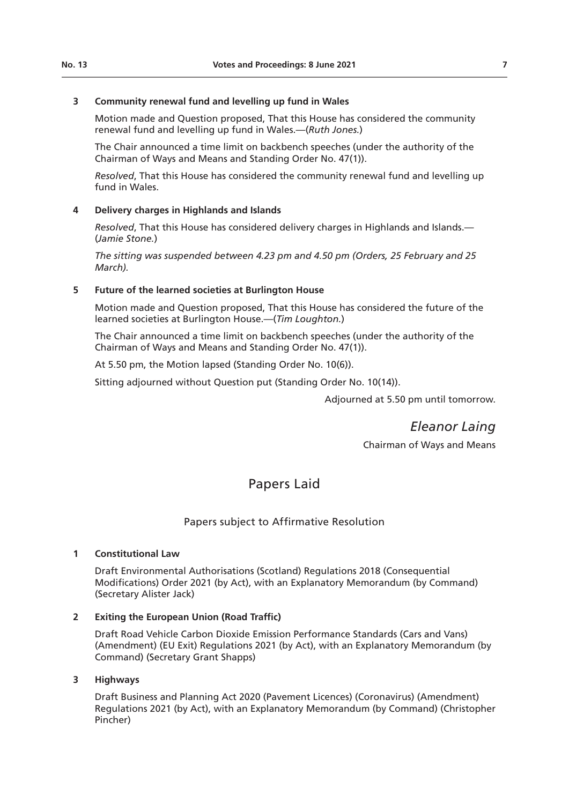# **3 Community renewal fund and levelling up fund in Wales**

Motion made and Question proposed, That this House has considered the community renewal fund and levelling up fund in Wales.—(*Ruth Jones.*)

The Chair announced a time limit on backbench speeches (under the authority of the Chairman of Ways and Means and Standing Order No. 47(1)).

*Resolved*, That this House has considered the community renewal fund and levelling up fund in Wales.

# **4 Delivery charges in Highlands and Islands**

*Resolved*, That this House has considered delivery charges in Highlands and Islands.— (*Jamie Stone.*)

*The sitting was suspended between 4.23 pm and 4.50 pm (Orders, 25 February and 25 March).* 

# **5 Future of the learned societies at Burlington House**

Motion made and Question proposed, That this House has considered the future of the learned societies at Burlington House.—(*Tim Loughton.*)

The Chair announced a time limit on backbench speeches (under the authority of the Chairman of Ways and Means and Standing Order No. 47(1)).

At 5.50 pm, the Motion lapsed (Standing Order No. 10(6)).

Sitting adjourned without Question put (Standing Order No. 10(14)).

Adjourned at 5.50 pm until tomorrow.

*Eleanor Laing* Chairman of Ways and Means

# Papers Laid

# Papers subject to Affirmative Resolution

# **1 Constitutional Law**

Draft Environmental Authorisations (Scotland) Regulations 2018 (Consequential Modifications) Order 2021 (by Act), with an Explanatory Memorandum (by Command) (Secretary Alister Jack)

# **2 Exiting the European Union (Road Traffic)**

Draft Road Vehicle Carbon Dioxide Emission Performance Standards (Cars and Vans) (Amendment) (EU Exit) Regulations 2021 (by Act), with an Explanatory Memorandum (by Command) (Secretary Grant Shapps)

# **3 Highways**

Draft Business and Planning Act 2020 (Pavement Licences) (Coronavirus) (Amendment) Regulations 2021 (by Act), with an Explanatory Memorandum (by Command) (Christopher Pincher)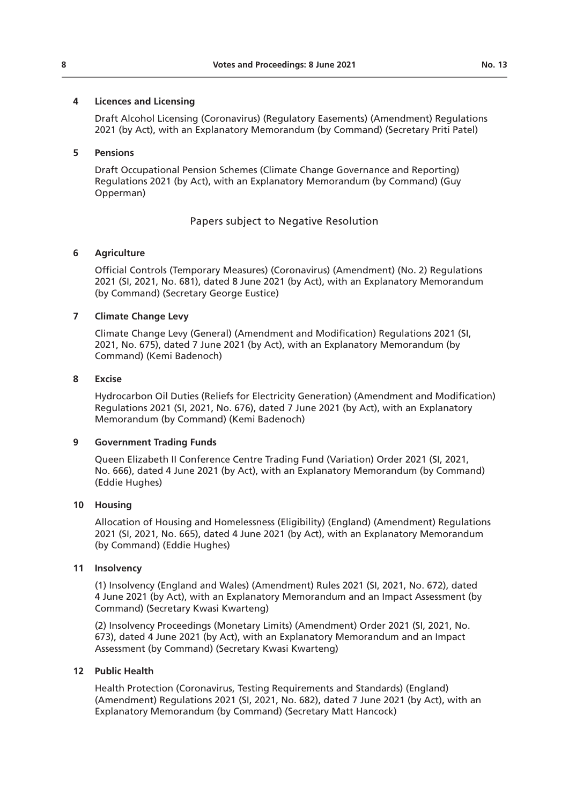### **4 Licences and Licensing**

Draft Alcohol Licensing (Coronavirus) (Regulatory Easements) (Amendment) Regulations 2021 (by Act), with an Explanatory Memorandum (by Command) (Secretary Priti Patel)

### **5 Pensions**

Draft Occupational Pension Schemes (Climate Change Governance and Reporting) Regulations 2021 (by Act), with an Explanatory Memorandum (by Command) (Guy Opperman)

# Papers subject to Negative Resolution

# **6 Agriculture**

Official Controls (Temporary Measures) (Coronavirus) (Amendment) (No. 2) Regulations 2021 (SI, 2021, No. 681), dated 8 June 2021 (by Act), with an Explanatory Memorandum (by Command) (Secretary George Eustice)

### **7 Climate Change Levy**

Climate Change Levy (General) (Amendment and Modification) Regulations 2021 (SI, 2021, No. 675), dated 7 June 2021 (by Act), with an Explanatory Memorandum (by Command) (Kemi Badenoch)

### **8 Excise**

Hydrocarbon Oil Duties (Reliefs for Electricity Generation) (Amendment and Modification) Regulations 2021 (SI, 2021, No. 676), dated 7 June 2021 (by Act), with an Explanatory Memorandum (by Command) (Kemi Badenoch)

### **9 Government Trading Funds**

Queen Elizabeth II Conference Centre Trading Fund (Variation) Order 2021 (SI, 2021, No. 666), dated 4 June 2021 (by Act), with an Explanatory Memorandum (by Command) (Eddie Hughes)

### **10 Housing**

Allocation of Housing and Homelessness (Eligibility) (England) (Amendment) Regulations 2021 (SI, 2021, No. 665), dated 4 June 2021 (by Act), with an Explanatory Memorandum (by Command) (Eddie Hughes)

### **11 Insolvency**

(1) Insolvency (England and Wales) (Amendment) Rules 2021 (SI, 2021, No. 672), dated 4 June 2021 (by Act), with an Explanatory Memorandum and an Impact Assessment (by Command) (Secretary Kwasi Kwarteng)

(2) Insolvency Proceedings (Monetary Limits) (Amendment) Order 2021 (SI, 2021, No. 673), dated 4 June 2021 (by Act), with an Explanatory Memorandum and an Impact Assessment (by Command) (Secretary Kwasi Kwarteng)

### **12 Public Health**

Health Protection (Coronavirus, Testing Requirements and Standards) (England) (Amendment) Regulations 2021 (SI, 2021, No. 682), dated 7 June 2021 (by Act), with an Explanatory Memorandum (by Command) (Secretary Matt Hancock)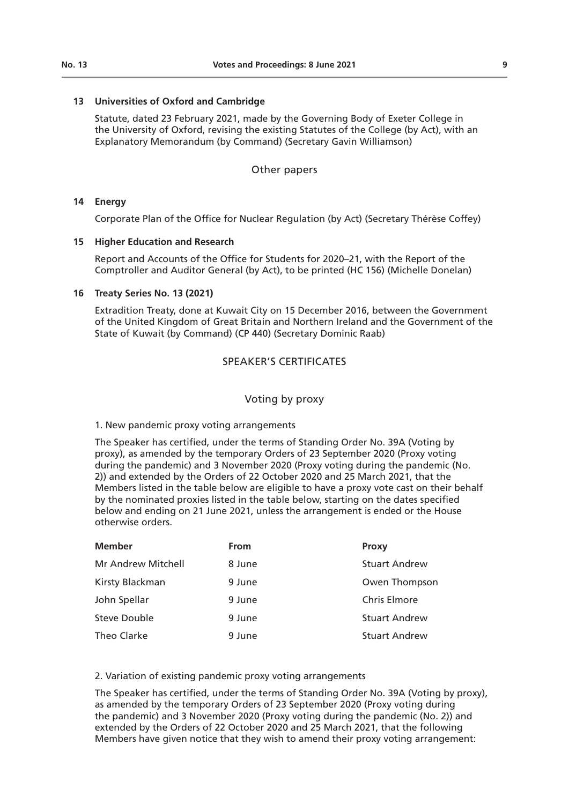### **13 Universities of Oxford and Cambridge**

Statute, dated 23 February 2021, made by the Governing Body of Exeter College in the University of Oxford, revising the existing Statutes of the College (by Act), with an Explanatory Memorandum (by Command) (Secretary Gavin Williamson)

### Other papers

### **14 Energy**

Corporate Plan of the Office for Nuclear Regulation (by Act) (Secretary Thérèse Coffey)

#### **15 Higher Education and Research**

Report and Accounts of the Office for Students for 2020–21, with the Report of the Comptroller and Auditor General (by Act), to be printed (HC 156) (Michelle Donelan)

#### **16 Treaty Series No. 13 (2021)**

Extradition Treaty, done at Kuwait City on 15 December 2016, between the Government of the United Kingdom of Great Britain and Northern Ireland and the Government of the State of Kuwait (by Command) (CP 440) (Secretary Dominic Raab)

# SPEAKER'S CERTIFICATES

#### Voting by proxy

### 1. New pandemic proxy voting arrangements

The Speaker has certified, under the terms of Standing Order No. 39A (Voting by proxy), as amended by the temporary Orders of 23 September 2020 (Proxy voting during the pandemic) and 3 November 2020 (Proxy voting during the pandemic (No. 2)) and extended by the Orders of 22 October 2020 and 25 March 2021, that the Members listed in the table below are eligible to have a proxy vote cast on their behalf by the nominated proxies listed in the table below, starting on the dates specified below and ending on 21 June 2021, unless the arrangement is ended or the House otherwise orders.

| <b>Member</b>       | <b>From</b> | Proxy                |
|---------------------|-------------|----------------------|
| Mr Andrew Mitchell  | 8 June      | <b>Stuart Andrew</b> |
| Kirsty Blackman     | 9 June      | Owen Thompson        |
| John Spellar        | 9 June      | <b>Chris Elmore</b>  |
| <b>Steve Double</b> | 9 June      | <b>Stuart Andrew</b> |
| Theo Clarke         | 9 June      | <b>Stuart Andrew</b> |

### 2. Variation of existing pandemic proxy voting arrangements

The Speaker has certified, under the terms of Standing Order No. 39A (Voting by proxy), as amended by the temporary Orders of 23 September 2020 (Proxy voting during the pandemic) and 3 November 2020 (Proxy voting during the pandemic (No. 2)) and extended by the Orders of 22 October 2020 and 25 March 2021, that the following Members have given notice that they wish to amend their proxy voting arrangement: